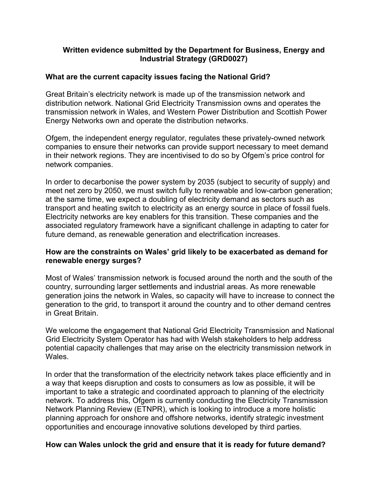## **Written evidence submitted by the Department for Business, Energy and Industrial Strategy (GRD0027)**

# **What are the current capacity issues facing the National Grid?**

Great Britain's electricity network is made up of the transmission network and distribution network. National Grid Electricity Transmission owns and operates the transmission network in Wales, and Western Power Distribution and Scottish Power Energy Networks own and operate the distribution networks.

Ofgem, the independent energy regulator, regulates these privately-owned network companies to ensure their networks can provide support necessary to meet demand in their network regions. They are incentivised to do so by Ofgem's price control for network companies.

In order to decarbonise the power system by 2035 (subject to security of supply) and meet net zero by 2050, we must switch fully to renewable and low-carbon generation; at the same time, we expect a doubling of electricity demand as sectors such as transport and heating switch to electricity as an energy source in place of fossil fuels. Electricity networks are key enablers for this transition. These companies and the associated regulatory framework have a significant challenge in adapting to cater for future demand, as renewable generation and electrification increases.

# **How are the constraints on Wales' grid likely to be exacerbated as demand for renewable energy surges?**

Most of Wales' transmission network is focused around the north and the south of the country, surrounding larger settlements and industrial areas. As more renewable generation joins the network in Wales, so capacity will have to increase to connect the generation to the grid, to transport it around the country and to other demand centres in Great Britain.

We welcome the engagement that National Grid Electricity Transmission and National Grid Electricity System Operator has had with Welsh stakeholders to help address potential capacity challenges that may arise on the electricity transmission network in Wales.

In order that the transformation of the electricity network takes place efficiently and in a way that keeps disruption and costs to consumers as low as possible, it will be important to take a strategic and coordinated approach to planning of the electricity network. To address this, Ofgem is currently conducting the Electricity Transmission Network Planning Review (ETNPR), which is looking to introduce a more holistic planning approach for onshore and offshore networks, identify strategic investment opportunities and encourage innovative solutions developed by third parties.

### **How can Wales unlock the grid and ensure that it is ready for future demand?**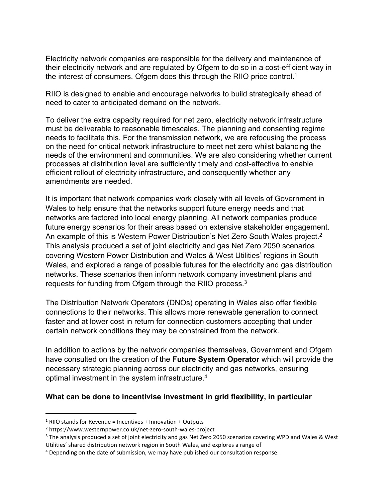Electricity network companies are responsible for the delivery and maintenance of their electricity network and are regulated by Ofgem to do so in a cost-efficient way in the interest of consumers. Ofgem does this through the RIIO price control.<sup>1</sup>

RIIO is designed to enable and encourage networks to build strategically ahead of need to cater to anticipated demand on the network.

To deliver the extra capacity required for net zero, electricity network infrastructure must be deliverable to reasonable timescales. The planning and consenting regime needs to facilitate this. For the transmission network, we are refocusing the process on the need for critical network infrastructure to meet net zero whilst balancing the needs of the environment and communities. We are also considering whether current processes at distribution level are sufficiently timely and cost-effective to enable efficient rollout of electricity infrastructure, and consequently whether any amendments are needed.

It is important that network companies work closely with all levels of Government in Wales to help ensure that the networks support future energy needs and that networks are factored into local energy planning. All network companies produce future energy scenarios for their areas based on extensive stakeholder engagement. An example of this is Western Power Distribution's Net Zero South Wales project.<sup>2</sup> This analysis produced a set of joint electricity and gas Net Zero 2050 scenarios covering Western Power Distribution and Wales & West Utilities' regions in South Wales, and explored a range of possible futures for the electricity and gas distribution networks. These scenarios then inform network company investment plans and requests for funding from Ofgem through the RIIO process.<sup>3</sup>

The Distribution Network Operators (DNOs) operating in Wales also offer flexible connections to their networks. This allows more renewable generation to connect faster and at lower cost in return for connection customers accepting that under certain network conditions they may be constrained from the network.

In addition to actions by the network companies themselves, Government and Ofgem have consulted on the creation of the **Future System Operator** which will provide the necessary strategic planning across our electricity and gas networks, ensuring optimal investment in the system infrastructure.<sup>4</sup>

### **What can be done to incentivise investment in grid flexibility, in particular**

 $1$  RIIO stands for Revenue = Incentives + Innovation + Outputs

<sup>2</sup> https://www.westernpower.co.uk/net-zero-south-wales-project

<sup>&</sup>lt;sup>3</sup> The analysis produced a set of joint electricity and gas Net Zero 2050 scenarios covering WPD and Wales & West Utilities' shared distribution network region in South Wales, and explores a range of

<sup>4</sup> Depending on the date of submission, we may have published our consultation response.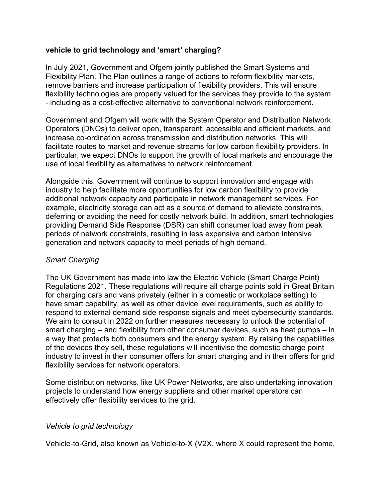# **vehicle to grid technology and 'smart' charging?**

In July 2021, Government and Ofgem jointly published the Smart Systems and Flexibility Plan. The Plan outlines a range of actions to reform flexibility markets, remove barriers and increase participation of flexibility providers. This will ensure flexibility technologies are properly valued for the services they provide to the system - including as a cost-effective alternative to conventional network reinforcement.

Government and Ofgem will work with the System Operator and Distribution Network Operators (DNOs) to deliver open, transparent, accessible and efficient markets, and increase co-ordination across transmission and distribution networks. This will facilitate routes to market and revenue streams for low carbon flexibility providers. In particular, we expect DNOs to support the growth of local markets and encourage the use of local flexibility as alternatives to network reinforcement.

Alongside this, Government will continue to support innovation and engage with industry to help facilitate more opportunities for low carbon flexibility to provide additional network capacity and participate in network management services. For example, electricity storage can act as a source of demand to alleviate constraints, deferring or avoiding the need for costly network build. In addition, smart technologies providing Demand Side Response (DSR) can shift consumer load away from peak periods of network constraints, resulting in less expensive and carbon intensive generation and network capacity to meet periods of high demand.

### *Smart Charging*

The UK Government has made into law the Electric Vehicle (Smart Charge Point) Regulations 2021. These regulations will require all charge points sold in Great Britain for charging cars and vans privately (either in a domestic or workplace setting) to have smart capability, as well as other device level requirements, such as ability to respond to external demand side response signals and meet cybersecurity standards. We aim to consult in 2022 on further measures necessary to unlock the potential of smart charging – and flexibility from other consumer devices, such as heat pumps – in a way that protects both consumers and the energy system. By raising the capabilities of the devices they sell, these regulations will incentivise the domestic charge point industry to invest in their consumer offers for smart charging and in their offers for grid flexibility services for network operators.

Some distribution networks, like UK Power Networks, are also undertaking innovation projects to understand how energy suppliers and other market operators can effectively offer flexibility services to the grid.

### *Vehicle to grid technology*

Vehicle-to-Grid, also known as Vehicle-to-X (V2X, where X could represent the home,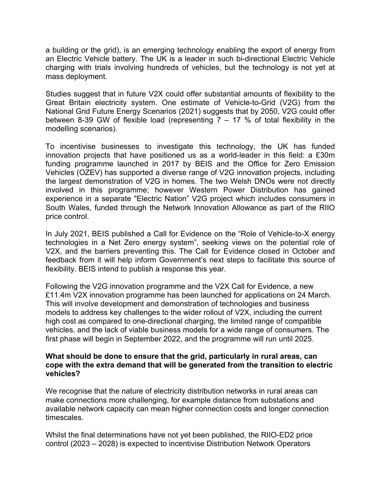a building or the grid), is an emerging technology enabling the export of energy from an Electric Vehicle battery. The UK is a leader in such bi-directional Electric Vehicle charging with trials involving hundreds of vehicles, but the technology is not yet at mass deployment.

Studies suggest that in future V2X could offer substantial amounts of flexibility to the Great Britain electricity system. One estimate of Vehicle-to-Grid (V2G) from the National Grid Future Energy Scenarios (2021) suggests that by 2050, V2G could offer between 8-39 GW of flexible load (representing  $7 - 17$  % of total flexibility in the modelling scenarios).

To incentivise businesses to investigate this technology, the UK has funded innovation projects that have positioned us as a world-leader in this field: a £30m funding programme launched in 2017 by BEIS and the Office for Zero Emission Vehicles (OZEV) has supported a diverse range of V2G innovation projects, including the largest demonstration of V2G in homes. The two Welsh DNOs were not directly involved in this programme; however Western Power Distribution has gained experience in a separate "Electric Nation" V2G project which includes consumers in South Wales, funded through the Network Innovation Allowance as part of the RIIO price control.

In July 2021, BEIS published a Call for Evidence on the "Role of Vehicle-to-X energy technologies in a Net Zero energy system", seeking views on the potential role of V2X, and the barriers preventing this. The Call for Evidence closed in October and feedback from it will help inform Government's next steps to facilitate this source of flexibility. BEIS intend to publish a response this year.

Following the V2G innovation programme and the V2X Call for Evidence, a new £11.4m V2X innovation programme has been launched for applications on 24 March. This will involve development and demonstration of technologies and business models to address key challenges to the wider rollout of V2X, including the current high cost as compared to one-directional charging, the limited range of compatible vehicles, and the lack of viable business models for a wide range of consumers. The first phase will begin in September 2022, and the programme will run until 2025.

#### **What should be done to ensure that the grid, particularly in rural areas, can cope with the extra demand that will be generated from the transition to electric vehicles?**

We recognise that the nature of electricity distribution networks in rural areas can make connections more challenging, for example distance from substations and available network capacity can mean higher connection costs and longer connection timescales.

Whilst the final determinations have not yet been published, the RIIO-ED2 price control (2023 – 2028) is expected to incentivise Distribution Network Operators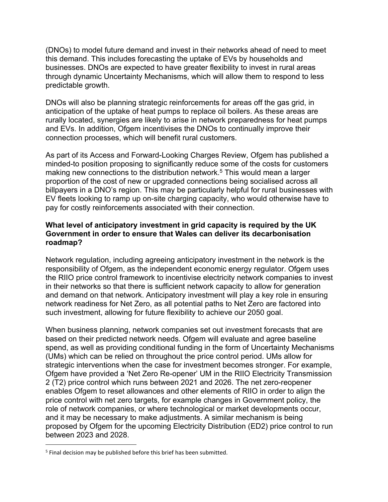(DNOs) to model future demand and invest in their networks ahead of need to meet this demand. This includes forecasting the uptake of EVs by households and businesses. DNOs are expected to have greater flexibility to invest in rural areas through dynamic Uncertainty Mechanisms, which will allow them to respond to less predictable growth.

DNOs will also be planning strategic reinforcements for areas off the gas grid, in anticipation of the uptake of heat pumps to replace oil boilers. As these areas are rurally located, synergies are likely to arise in network preparedness for heat pumps and EVs. In addition, Ofgem incentivises the DNOs to continually improve their connection processes, which will benefit rural customers.

As part of its Access and Forward-Looking Charges Review, Ofgem has published a minded-to position proposing to significantly reduce some of the costs for customers making new connections to the distribution network.<sup>5</sup> This would mean a larger proportion of the cost of new or upgraded connections being socialised across all billpayers in a DNO's region. This may be particularly helpful for rural businesses with EV fleets looking to ramp up on-site charging capacity, who would otherwise have to pay for costly reinforcements associated with their connection.

## **What level of anticipatory investment in grid capacity is required by the UK Government in order to ensure that Wales can deliver its decarbonisation roadmap?**

Network regulation, including agreeing anticipatory investment in the network is the responsibility of Ofgem, as the independent economic energy regulator. Ofgem uses the RIIO price control framework to incentivise electricity network companies to invest in their networks so that there is sufficient network capacity to allow for generation and demand on that network. Anticipatory investment will play a key role in ensuring network readiness for Net Zero, as all potential paths to Net Zero are factored into such investment, allowing for future flexibility to achieve our 2050 goal.

When business planning, network companies set out investment forecasts that are based on their predicted network needs. Ofgem will evaluate and agree baseline spend, as well as providing conditional funding in the form of Uncertainty Mechanisms (UMs) which can be relied on throughout the price control period. UMs allow for strategic interventions when the case for investment becomes stronger. For example, Ofgem have provided a 'Net Zero Re-opener' UM in the RIIO Electricity Transmission 2 (T2) price control which runs between 2021 and 2026. The net zero-reopener enables Ofgem to reset allowances and other elements of RIIO in order to align the price control with net zero targets, for example changes in Government policy, the role of network companies, or where technological or market developments occur, and it may be necessary to make adjustments. A similar mechanism is being proposed by Ofgem for the upcoming Electricity Distribution (ED2) price control to run between 2023 and 2028.

<sup>&</sup>lt;sup>5</sup> Final decision may be published before this brief has been submitted.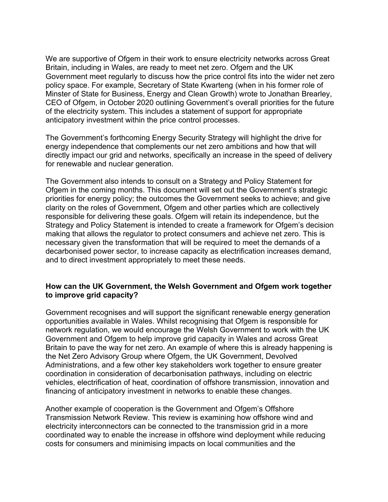We are supportive of Ofgem in their work to ensure electricity networks across Great Britain, including in Wales, are ready to meet net zero. Ofgem and the UK Government meet regularly to discuss how the price control fits into the wider net zero policy space. For example, Secretary of State Kwarteng (when in his former role of Minster of State for Business, Energy and Clean Growth) wrote to Jonathan Brearley, CEO of Ofgem, in October 2020 outlining Government's overall priorities for the future of the electricity system. This includes a statement of support for appropriate anticipatory investment within the price control processes.

The Government's forthcoming Energy Security Strategy will highlight the drive for energy independence that complements our net zero ambitions and how that will directly impact our grid and networks, specifically an increase in the speed of delivery for renewable and nuclear generation.

The Government also intends to consult on a Strategy and Policy Statement for Ofgem in the coming months. This document will set out the Government's strategic priorities for energy policy; the outcomes the Government seeks to achieve; and give clarity on the roles of Government, Ofgem and other parties which are collectively responsible for delivering these goals. Ofgem will retain its independence, but the Strategy and Policy Statement is intended to create a framework for Ofgem's decision making that allows the regulator to protect consumers and achieve net zero. This is necessary given the transformation that will be required to meet the demands of a decarbonised power sector, to increase capacity as electrification increases demand, and to direct investment appropriately to meet these needs.

### **How can the UK Government, the Welsh Government and Ofgem work together to improve grid capacity?**

Government recognises and will support the significant renewable energy generation opportunities available in Wales. Whilst recognising that Ofgem is responsible for network regulation, we would encourage the Welsh Government to work with the UK Government and Ofgem to help improve grid capacity in Wales and across Great Britain to pave the way for net zero. An example of where this is already happening is the Net Zero Advisory Group where Ofgem, the UK Government, Devolved Administrations, and a few other key stakeholders work together to ensure greater coordination in consideration of decarbonisation pathways, including on electric vehicles, electrification of heat, coordination of offshore transmission, innovation and financing of anticipatory investment in networks to enable these changes.

Another example of cooperation is the Government and Ofgem's Offshore Transmission Network Review. This review is examining how offshore wind and electricity interconnectors can be connected to the transmission grid in a more coordinated way to enable the increase in offshore wind deployment while reducing costs for consumers and minimising impacts on local communities and the